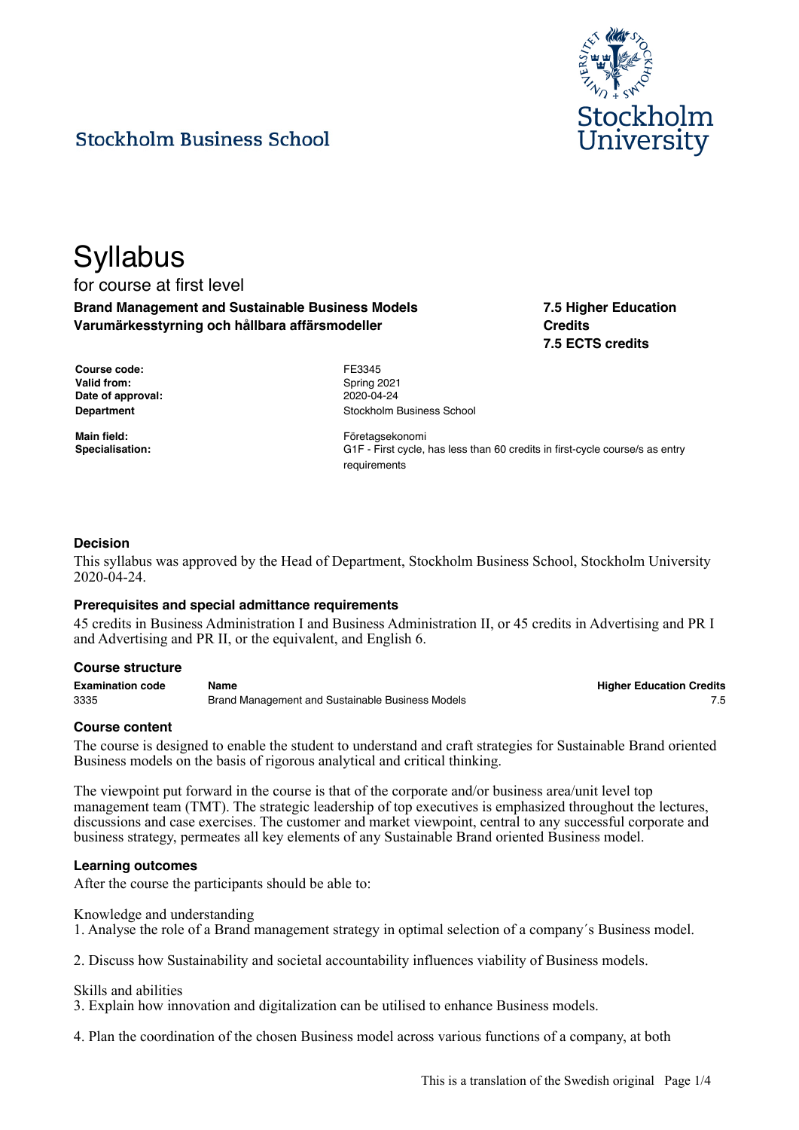

# **Stockholm Business School**

# **Syllabus** for course at first level **Brand Management and Sustainable Business Models Varumärkesstyrning och hållbara affärsmodeller**

**7.5 Higher Education Credits 7.5 ECTS credits**

| Course code:      |  |
|-------------------|--|
| Valid from:       |  |
| Date of approval: |  |
| <b>Department</b> |  |

**Course code:** FE3345 **Valid from:** Spring 2021 **Date of approval:** 2020-04-24 **Stockholm Business School** 

**Main field:** Företagsekonomi **Specialisation:** G1F - First cycle, has less than 60 credits in first-cycle course/s as entry requirements

# **Decision**

This syllabus was approved by the Head of Department, Stockholm Business School, Stockholm University 2020-04-24.

#### **Prerequisites and special admittance requirements**

45 credits in Business Administration I and Business Administration II, or 45 credits in Advertising and PR I and Advertising and PR II, or the equivalent, and English 6.

#### **Course structure**

| <b>Examination code</b> | Name                                             | <b>Higher Education Credits</b> |
|-------------------------|--------------------------------------------------|---------------------------------|
| 3335                    | Brand Management and Sustainable Business Models |                                 |

#### **Course content**

The course is designed to enable the student to understand and craft strategies for Sustainable Brand oriented Business models on the basis of rigorous analytical and critical thinking.

The viewpoint put forward in the course is that of the corporate and/or business area/unit level top management team (TMT). The strategic leadership of top executives is emphasized throughout the lectures, discussions and case exercises. The customer and market viewpoint, central to any successful corporate and business strategy, permeates all key elements of any Sustainable Brand oriented Business model.

#### **Learning outcomes**

After the course the participants should be able to:

Knowledge and understanding

1. Analyse the role of a Brand management strategy in optimal selection of a company´s Business model.

2. Discuss how Sustainability and societal accountability influences viability of Business models.

#### Skills and abilities

3. Explain how innovation and digitalization can be utilised to enhance Business models.

4. Plan the coordination of the chosen Business model across various functions of a company, at both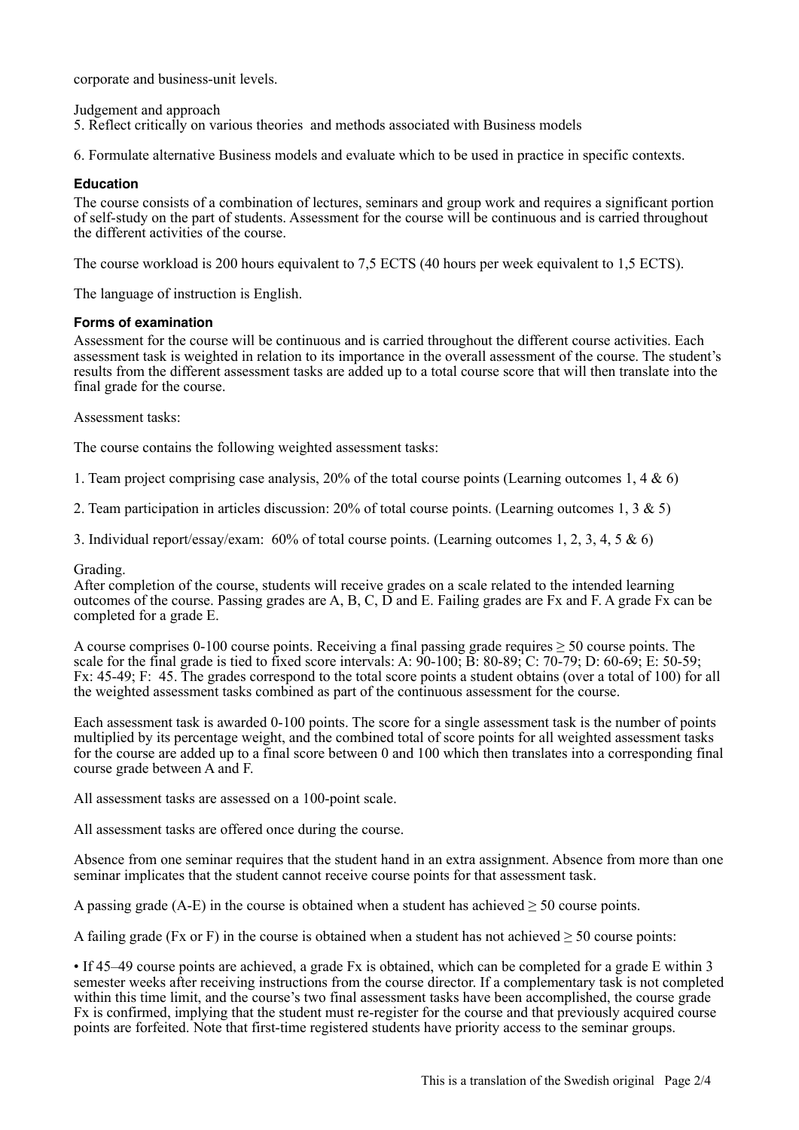corporate and business-unit levels.

Judgement and approach

5. Reflect critically on various theories and methods associated with Business models

6. Formulate alternative Business models and evaluate which to be used in practice in specific contexts.

# **Education**

The course consists of a combination of lectures, seminars and group work and requires a significant portion of self-study on the part of students. Assessment for the course will be continuous and is carried throughout the different activities of the course.

The course workload is 200 hours equivalent to 7,5 ECTS (40 hours per week equivalent to 1,5 ECTS).

The language of instruction is English.

# **Forms of examination**

Assessment for the course will be continuous and is carried throughout the different course activities. Each assessment task is weighted in relation to its importance in the overall assessment of the course. The student's results from the different assessment tasks are added up to a total course score that will then translate into the final grade for the course.

Assessment tasks:

The course contains the following weighted assessment tasks:

1. Team project comprising case analysis, 20% of the total course points (Learning outcomes 1, 4 & 6)

2. Team participation in articles discussion: 20% of total course points. (Learning outcomes 1, 3 & 5)

3. Individual report/essay/exam: 60% of total course points. (Learning outcomes 1, 2, 3, 4, 5 & 6)

#### Grading.

After completion of the course, students will receive grades on a scale related to the intended learning outcomes of the course. Passing grades are A, B, C, D and E. Failing grades are Fx and F. A grade Fx can be completed for a grade E.

A course comprises 0-100 course points. Receiving a final passing grade requires  $\geq$  50 course points. The scale for the final grade is tied to fixed score intervals: A: 90-100; B: 80-89; C: 70-79; D: 60-69; E: 50-59; Fx: 45-49; F: 45. The grades correspond to the total score points a student obtains (over a total of 100) for all the weighted assessment tasks combined as part of the continuous assessment for the course.

Each assessment task is awarded 0-100 points. The score for a single assessment task is the number of points multiplied by its percentage weight, and the combined total of score points for all weighted assessment tasks for the course are added up to a final score between 0 and 100 which then translates into a corresponding final course grade between A and F.

All assessment tasks are assessed on a 100-point scale.

All assessment tasks are offered once during the course.

Absence from one seminar requires that the student hand in an extra assignment. Absence from more than one seminar implicates that the student cannot receive course points for that assessment task.

A passing grade ( $A-E$ ) in the course is obtained when a student has achieved  $\geq 50$  course points.

A failing grade (Fx or F) in the course is obtained when a student has not achieved  $> 50$  course points:

• If 45–49 course points are achieved, a grade Fx is obtained, which can be completed for a grade E within 3 semester weeks after receiving instructions from the course director. If a complementary task is not completed within this time limit, and the course's two final assessment tasks have been accomplished, the course grade Fx is confirmed, implying that the student must re-register for the course and that previously acquired course points are forfeited. Note that first-time registered students have priority access to the seminar groups.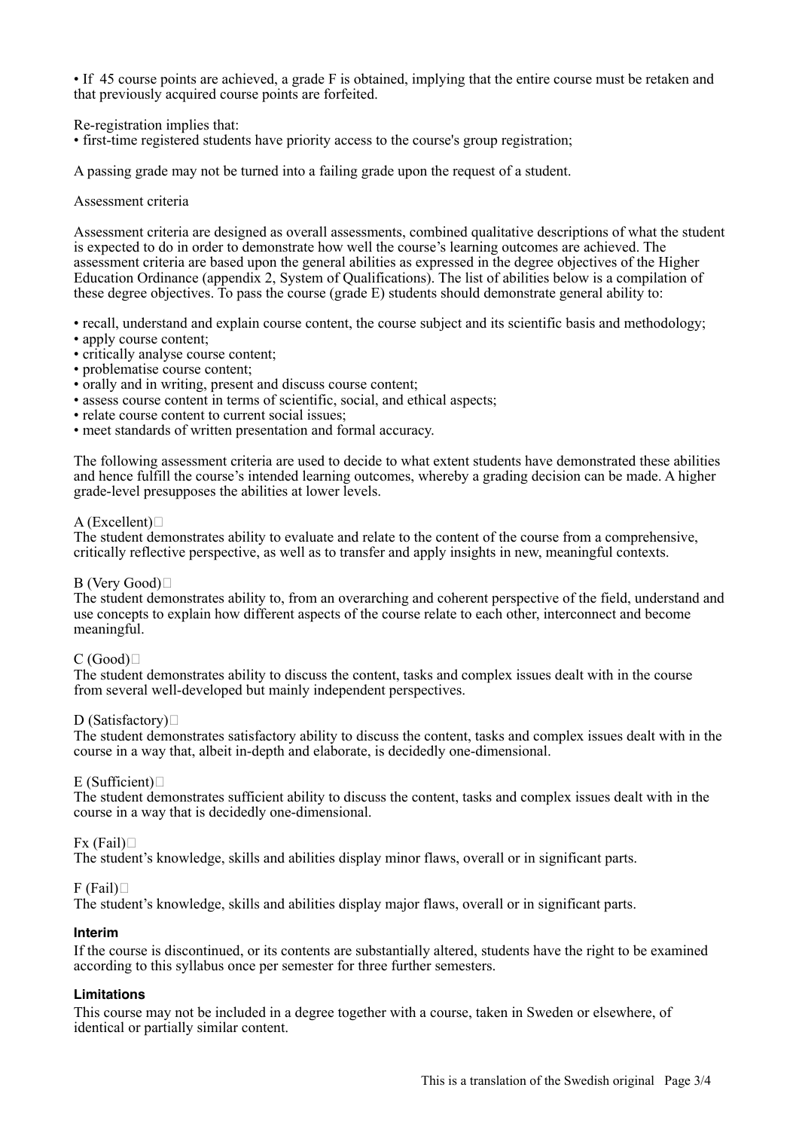• If 45 course points are achieved, a grade F is obtained, implying that the entire course must be retaken and that previously acquired course points are forfeited.

Re-registration implies that:

• first-time registered students have priority access to the course's group registration;

A passing grade may not be turned into a failing grade upon the request of a student.

#### Assessment criteria

Assessment criteria are designed as overall assessments, combined qualitative descriptions of what the student is expected to do in order to demonstrate how well the course's learning outcomes are achieved. The assessment criteria are based upon the general abilities as expressed in the degree objectives of the Higher Education Ordinance (appendix 2, System of Qualifications). The list of abilities below is a compilation of these degree objectives. To pass the course (grade E) students should demonstrate general ability to:

• recall, understand and explain course content, the course subject and its scientific basis and methodology;

- apply course content;
- critically analyse course content;
- problematise course content;
- orally and in writing, present and discuss course content;
- assess course content in terms of scientific, social, and ethical aspects;
- relate course content to current social issues;
- meet standards of written presentation and formal accuracy.

The following assessment criteria are used to decide to what extent students have demonstrated these abilities and hence fulfill the course's intended learning outcomes, whereby a grading decision can be made. A higher grade-level presupposes the abilities at lower levels.

#### $A$  (Excellent) $\square$

The student demonstrates ability to evaluate and relate to the content of the course from a comprehensive, critically reflective perspective, as well as to transfer and apply insights in new, meaningful contexts.

#### B (Very Good)

The student demonstrates ability to, from an overarching and coherent perspective of the field, understand and use concepts to explain how different aspects of the course relate to each other, interconnect and become meaningful.

# $C(Good)$

The student demonstrates ability to discuss the content, tasks and complex issues dealt with in the course from several well-developed but mainly independent perspectives.

#### D (Satisfactory) $\Box$

The student demonstrates satisfactory ability to discuss the content, tasks and complex issues dealt with in the course in a way that, albeit in-depth and elaborate, is decidedly one-dimensional.

#### $E$  (Sufficient) $\Box$

The student demonstrates sufficient ability to discuss the content, tasks and complex issues dealt with in the course in a way that is decidedly one-dimensional.

#### $Fx$  (Fail) $\Box$

The student's knowledge, skills and abilities display minor flaws, overall or in significant parts.

# $F$  (Fail) $\Box$

The student's knowledge, skills and abilities display major flaws, overall or in significant parts.

#### **Interim**

If the course is discontinued, or its contents are substantially altered, students have the right to be examined according to this syllabus once per semester for three further semesters.

#### **Limitations**

This course may not be included in a degree together with a course, taken in Sweden or elsewhere, of identical or partially similar content.